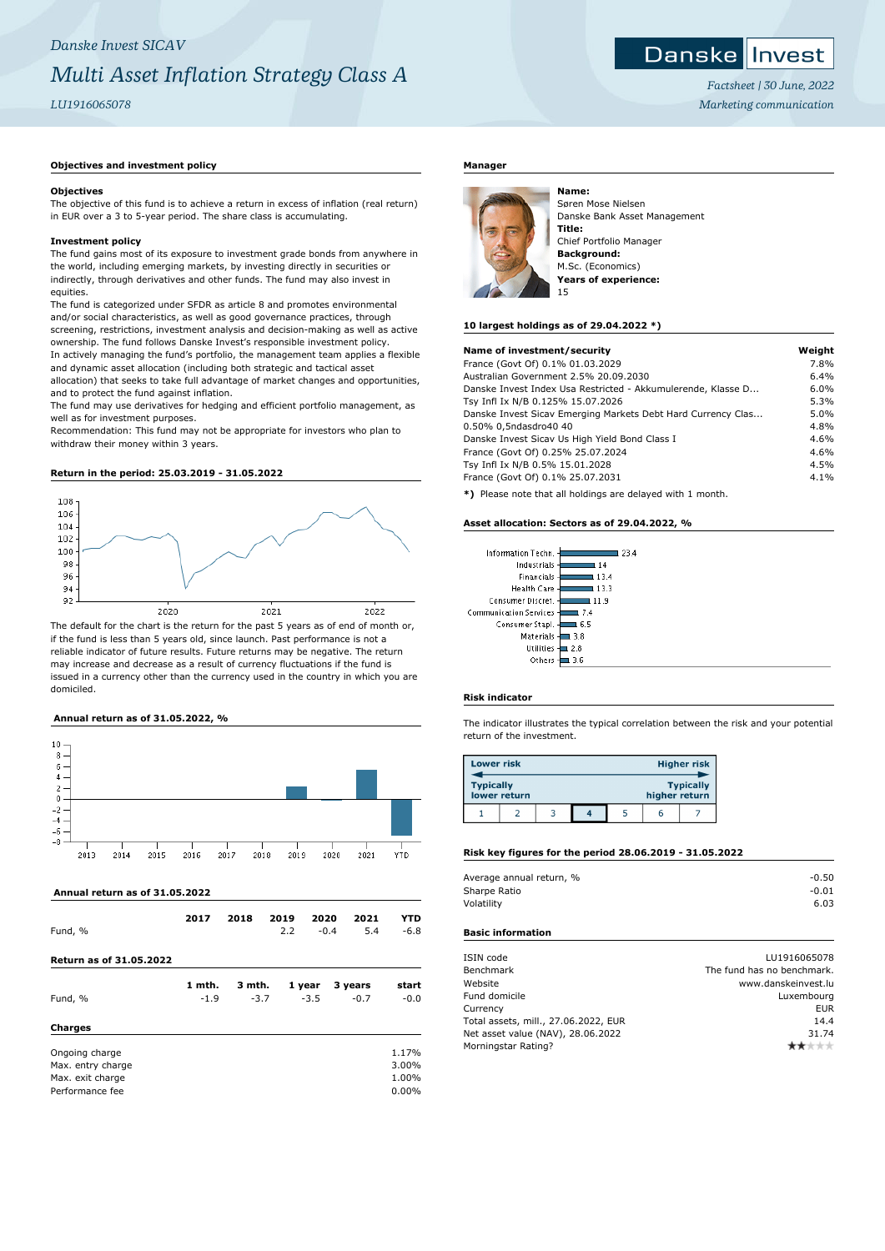## **Objectives and investment policy**

#### **Objectives**

The objective of this fund is to achieve a return in excess of inflation (real return) in EUR over a 3 to 5-year period. The share class is accumulating.

#### **Investment policy**

The fund gains most of its exposure to investment grade bonds from anywhere in the world, including emerging markets, by investing directly in securities or indirectly, through derivatives and other funds. The fund may also invest in equities.

The fund is categorized under SFDR as article 8 and promotes environmental and/or social characteristics, as well as good governance practices, through screening, restrictions, investment analysis and decision-making as well as active ownership. The fund follows Danske Invest's responsible investment policy. In actively managing the fund's portfolio, the management team applies a flexible and dynamic asset allocation (including both strategic and tactical asset allocation) that seeks to take full advantage of market changes and opportunities,

and to protect the fund against inflation. The fund may use derivatives for hedging and efficient portfolio management, as well as for investment purposes.

Recommendation: This fund may not be appropriate for investors who plan to withdraw their money within 3 years.

#### **Return in the period: 25.03.2019 - 31.05.2022**



The default for the chart is the return for the past 5 years as of end of month or, if the fund is less than 5 years old, since launch. Past performance is not a reliable indicator of future results. Future returns may be negative. The return may increase and decrease as a result of currency fluctuations if the fund is issued in a currency other than the currency used in the country in which you are domiciled.

# **Annual return as of 31.05.2022, %**



#### **Annual return as of 31.05.2022**

| Fund, %                                                                    | 2017             | 2018             | 2019<br>2.2 | 2020<br>$-0.4$   | 2021<br>5.4       | YTD<br>$-6.8$                    |
|----------------------------------------------------------------------------|------------------|------------------|-------------|------------------|-------------------|----------------------------------|
| <b>Return as of 31.05.2022</b>                                             |                  |                  |             |                  |                   |                                  |
| Fund, %<br><b>Charges</b>                                                  | 1 mth.<br>$-1.9$ | 3 mth.<br>$-3.7$ |             | 1 year<br>$-3.5$ | 3 years<br>$-0.7$ | start<br>$-0.0$                  |
| Ongoing charge<br>Max. entry charge<br>Max. exit charge<br>Performance fee |                  |                  |             |                  |                   | 1.17%<br>3.00%<br>1.00%<br>0.00% |

# **Manager**



Søren Mose Nielsen Danske Bank Asset Management **Title:** Chief Portfolio Manager **Background:** M.Sc. (Economics) **Years of experience:** 15

*Factsheet | 30 June, 2022 Marketing communication*

Danske Invest

#### **10 largest holdings as of 29.04.2022 \*)**

| Name of investment/security                                  | Weight |
|--------------------------------------------------------------|--------|
| France (Govt Of) 0.1% 01.03.2029                             | 7.8%   |
| Australian Government 2.5% 20.09.2030                        | 6.4%   |
| Danske Invest Index Usa Restricted - Akkumulerende, Klasse D | 6.0%   |
| Tsy Infl Ix N/B 0.125% 15.07.2026                            | 5.3%   |
| Danske Invest Sicav Emerging Markets Debt Hard Currency Clas | 5.0%   |
| 0.50% 0,5ndasdro40 40                                        | 4.8%   |
| Danske Invest Sicav Us High Yield Bond Class I               | 4.6%   |
| France (Govt Of) 0.25% 25.07.2024                            | 4.6%   |
| Tsy Infl Ix N/B 0.5% 15.01.2028                              | 4.5%   |
| France (Govt Of) 0.1% 25.07.2031                             | 4.1%   |
|                                                              |        |

**\*)** Please note that all holdings are delayed with 1 month.

#### **Asset allocation: Sectors as of 29.04.2022, %**

| Information Techn.       | 23.4 |
|--------------------------|------|
| Industrials              | 14   |
| Financials               | 13.4 |
| <b>Health Care</b>       | 13.3 |
| Consumer Discret.        | 11.9 |
| Communication Services - | 7.4  |
| Consumer Stapl.          | 6.5  |
| Materials -              | 3.8  |
| <b>Utilities</b>         | 2.8  |
| Others                   |      |

#### **Risk indicator**

The indicator illustrates the typical correlation between the risk and your potential return of the investment.

| <b>Lower risk</b> |              |  |               | <b>Higher risk</b> |
|-------------------|--------------|--|---------------|--------------------|
| <b>Typically</b>  | lower return |  | higher return | <b>Typically</b>   |
|                   |              |  |               |                    |

## **Risk key figures for the period 28.06.2019 - 31.05.2022**

| Average annual return, % | $-0.50$ |
|--------------------------|---------|
| Sharpe Ratio             | $-0.01$ |
| Volatility               | 6.03    |
|                          |         |

# **Basic information**

| ISIN code                            | LU1916065078               |
|--------------------------------------|----------------------------|
| Benchmark                            | The fund has no benchmark. |
| Website                              | www.danskeinvest.lu        |
| Fund domicile                        | Luxembourg                 |
| Currency                             | EUR                        |
| Total assets, mill., 27.06.2022, EUR | 14.4                       |
| Net asset value (NAV), 28.06.2022    | 31.74                      |
| Morningstar Rating?                  | ŀж                         |
|                                      |                            |